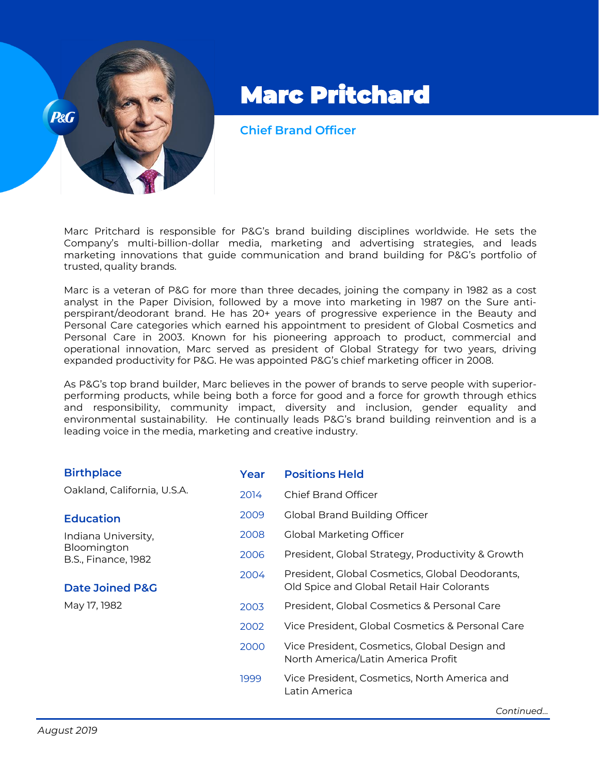

## Marc Pritchard

**Chief Brand Officer** 

Marc Pritchard is responsible for P&G's brand building disciplines worldwide. He sets the Company's multi-billion-dollar media, marketing and advertising strategies, and leads marketing innovations that guide communication and brand building for P&G's portfolio of trusted, quality brands.

Marc is a veteran of P&G for more than three decades, joining the company in 1982 as a cost analyst in the Paper Division, followed by a move into marketing in 1987 on the Sure antiperspirant/deodorant brand. He has 20+ years of progressive experience in the Beauty and Personal Care categories which earned his appointment to president of Global Cosmetics and Personal Care in 2003. Known for his pioneering approach to product, commercial and operational innovation, Marc served as president of Global Strategy for two years, driving expanded productivity for P&G. He was appointed P&G's chief marketing officer in 2008.

As P&G's top brand builder, Marc believes in the power of brands to serve people with superiorperforming products, while being both a force for good and a force for growth through ethics and responsibility, community impact, diversity and inclusion, gender equality and environmental sustainability. He continually leads P&G's brand building reinvention and is a leading voice in the media, marketing and creative industry.

| <b>Birthplace</b>                                                | Year | <b>Positions Held</b>                                                                         |  |
|------------------------------------------------------------------|------|-----------------------------------------------------------------------------------------------|--|
| Oakland, California, U.S.A.                                      | 2014 | Chief Brand Officer                                                                           |  |
| <b>Education</b>                                                 | 2009 | Global Brand Building Officer                                                                 |  |
| Indiana University,<br>Bloomington<br><b>B.S., Finance, 1982</b> | 2008 | <b>Global Marketing Officer</b>                                                               |  |
|                                                                  | 2006 | President, Global Strategy, Productivity & Growth                                             |  |
| <b>Date Joined P&amp;G</b>                                       | 2004 | President, Global Cosmetics, Global Deodorants,<br>Old Spice and Global Retail Hair Colorants |  |
| May 17, 1982                                                     | 2003 | President, Global Cosmetics & Personal Care                                                   |  |
|                                                                  | 2002 | Vice President, Global Cosmetics & Personal Care                                              |  |
|                                                                  | 2000 | Vice President, Cosmetics, Global Design and<br>North America/Latin America Profit            |  |
|                                                                  | 1999 | Vice President, Cosmetics, North America and<br>Latin America                                 |  |

*Continued…*